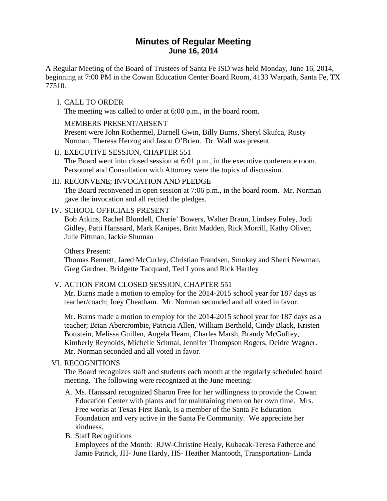# **Minutes of Regular Meeting June 16, 2014**

A Regular Meeting of the Board of Trustees of Santa Fe ISD was held Monday, June 16, 2014, beginning at 7:00 PM in the Cowan Education Center Board Room, 4133 Warpath, Santa Fe, TX 77510.

## I. CALL TO ORDER

The meeting was called to order at 6:00 p.m., in the board room.

## MEMBERS PRESENT/ABSENT

Present were John Rothermel, Darnell Gwin, Billy Burns, Sheryl Skufca, Rusty Norman, Theresa Herzog and Jason O'Brien. Dr. Wall was present.

## II. EXECUTIVE SESSION, CHAPTER 551

The Board went into closed session at 6:01 p.m., in the executive conference room. Personnel and Consultation with Attorney were the topics of discussion.

## III. RECONVENE; INVOCATION AND PLEDGE

The Board reconvened in open session at 7:06 p.m., in the board room. Mr. Norman gave the invocation and all recited the pledges.

## IV. SCHOOL OFFICIALS PRESENT

Bob Atkins, Rachel Blundell, Cherie' Bowers, Walter Braun, Lindsey Foley, Jodi Gidley, Patti Hanssard, Mark Kanipes, Britt Madden, Rick Morrill, Kathy Oliver, Julie Pittman, Jackie Shuman

Others Present:

Thomas Bennett, Jared McCurley, Christian Frandsen, Smokey and Sherri Newman, Greg Gardner, Bridgette Tacquard, Ted Lyons and Rick Hartley

## V. ACTION FROM CLOSED SESSION, CHAPTER 551

Mr. Burns made a motion to employ for the 2014-2015 school year for 187 days as teacher/coach; Joey Cheatham. Mr. Norman seconded and all voted in favor.

Mr. Burns made a motion to employ for the 2014-2015 school year for 187 days as a teacher; Brian Abercrombie, Patricia Allen, William Berthold, Cindy Black, Kristen Bottstein, Melissa Guillen, Angela Hearn, Charles Marsh, Brandy McGuffey, Kimberly Reynolds, Michelle Schmal, Jennifer Thompson Rogers, Deidre Wagner. Mr. Norman seconded and all voted in favor.

## VI. RECOGNITIONS

The Board recognizes staff and students each month at the regularly scheduled board meeting. The following were recognized at the June meeting:

A. Ms. Hanssard recognized Sharon Free for her willingness to provide the Cowan Education Center with plants and for maintaining them on her own time. Mrs. Free works at Texas First Bank, is a member of the Santa Fe Education Foundation and very active in the Santa Fe Community. We appreciate her kindness.

## B. Staff Recognitions

Employees of the Month: RJW-Christine Healy, Kubacak-Teresa Fatheree and Jamie Patrick, JH- June Hardy, HS- Heather Mantooth, Transportation- Linda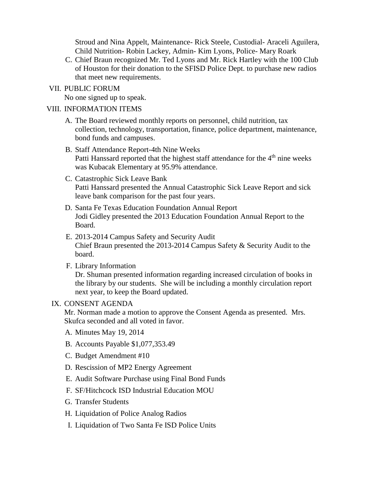Stroud and Nina Appelt, Maintenance- Rick Steele, Custodial- Araceli Aguilera, Child Nutrition- Robin Lackey, Admin- Kim Lyons, Police- Mary Roark

C. Chief Braun recognized Mr. Ted Lyons and Mr. Rick Hartley with the 100 Club of Houston for their donation to the SFISD Police Dept. to purchase new radios that meet new requirements.

#### VII. PUBLIC FORUM

No one signed up to speak.

#### VIII. INFORMATION ITEMS

- A. The Board reviewed monthly reports on personnel, child nutrition, tax collection, technology, transportation, finance, police department, maintenance, bond funds and campuses.
- B. Staff Attendance Report-4th Nine Weeks Patti Hanssard reported that the highest staff attendance for the  $4<sup>th</sup>$  nine weeks was Kubacak Elementary at 95.9% attendance.
- C. Catastrophic Sick Leave Bank Patti Hanssard presented the Annual Catastrophic Sick Leave Report and sick leave bank comparison for the past four years.
- D. Santa Fe Texas Education Foundation Annual Report Jodi Gidley presented the 2013 Education Foundation Annual Report to the Board.
- E. 2013-2014 Campus Safety and Security Audit Chief Braun presented the 2013-2014 Campus Safety & Security Audit to the board.
- F. Library Information

Dr. Shuman presented information regarding increased circulation of books in the library by our students. She will be including a monthly circulation report next year, to keep the Board updated.

### IX. CONSENT AGENDA

Mr. Norman made a motion to approve the Consent Agenda as presented. Mrs. Skufca seconded and all voted in favor.

- A. Minutes May 19, 2014
- B. Accounts Payable \$1,077,353.49
- C. Budget Amendment #10
- D. Rescission of MP2 Energy Agreement
- E. Audit Software Purchase using Final Bond Funds
- F. SF/Hitchcock ISD Industrial Education MOU
- G. Transfer Students
- H. Liquidation of Police Analog Radios
- I. Liquidation of Two Santa Fe ISD Police Units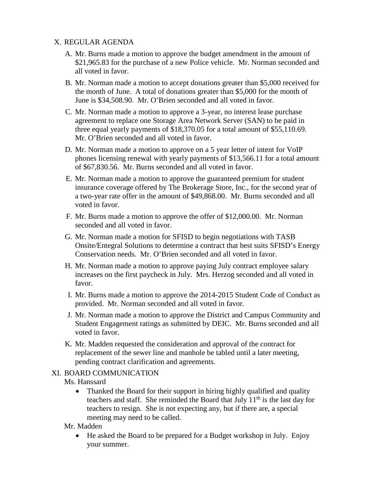## X. REGULAR AGENDA

- A. Mr. Burns made a motion to approve the budget amendment in the amount of \$21,965.83 for the purchase of a new Police vehicle. Mr. Norman seconded and all voted in favor.
- B. Mr. Norman made a motion to accept donations greater than \$5,000 received for the month of June. A total of donations greater than \$5,000 for the month of June is \$34,508.90. Mr. O'Brien seconded and all voted in favor.
- C. Mr. Norman made a motion to approve a 3-year, no interest lease purchase agreement to replace one Storage Area Network Server (SAN) to be paid in three equal yearly payments of \$18,370.05 for a total amount of \$55,110.69. Mr. O'Brien seconded and all voted in favor.
- D. Mr. Norman made a motion to approve on a 5 year letter of intent for VoIP phones licensing renewal with yearly payments of \$13,566.11 for a total amount of \$67,830.56. Mr. Burns seconded and all voted in favor.
- E. Mr. Norman made a motion to approve the guaranteed premium for student insurance coverage offered by The Brokerage Store, Inc., for the second year of a two-year rate offer in the amount of \$49,868.00. Mr. Burns seconded and all voted in favor.
- F. Mr. Burns made a motion to approve the offer of \$12,000.00. Mr. Norman seconded and all voted in favor.
- G. Mr. Norman made a motion for SFISD to begin negotiations with TASB Onsite/Entegral Solutions to determine a contract that best suits SFISD's Energy Conservation needs. Mr. O'Brien seconded and all voted in favor.
- H. Mr. Norman made a motion to approve paying July contract employee salary increases on the first paycheck in July. Mrs. Herzog seconded and all voted in favor.
- I. Mr. Burns made a motion to approve the 2014-2015 Student Code of Conduct as provided. Mr. Norman seconded and all voted in favor.
- J. Mr. Norman made a motion to approve the District and Campus Community and Student Engagement ratings as submitted by DEIC. Mr. Burns seconded and all voted in favor.
- K. Mr. Madden requested the consideration and approval of the contract for replacement of the sewer line and manhole be tabled until a later meeting, pending contract clarification and agreements.

### XI. BOARD COMMUNICATION

Ms. Hanssard

• Thanked the Board for their support in hiring highly qualified and quality teachers and staff. She reminded the Board that July  $11<sup>th</sup>$  is the last day for teachers to resign. She is not expecting any, but if there are, a special meeting may need to be called.

Mr. Madden

• He asked the Board to be prepared for a Budget workshop in July. Enjoy your summer.